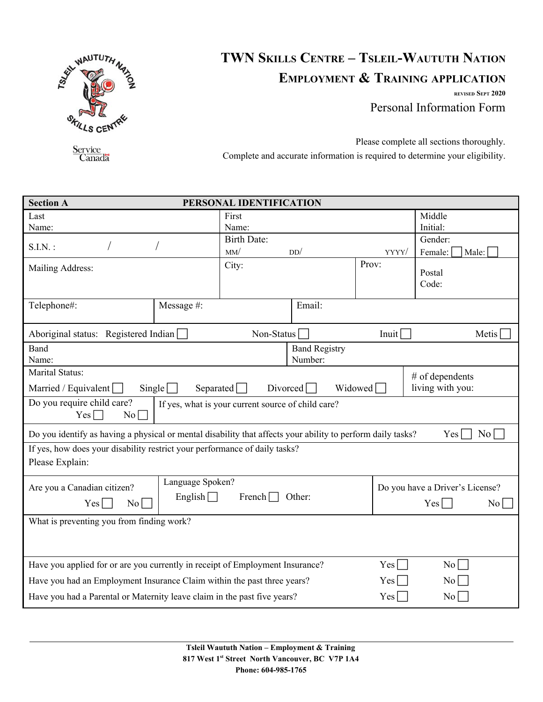

## **TWN SKILLS CENTRE – TSLEIL-WAUTUTH NATION EMPLOYMENT & TRAINING APPLICATION**

**REVISED SEPT 2020** Personal Information Form

Service<br>Canada

Please complete all sections thoroughly. Complete and accurate information is required to determine your eligibility.

| <b>Section A</b>                                                                                                                  |                  | PERSONAL IDENTIFICATION |                      |       |                                                |  |  |
|-----------------------------------------------------------------------------------------------------------------------------------|------------------|-------------------------|----------------------|-------|------------------------------------------------|--|--|
| Last                                                                                                                              |                  | First                   |                      |       | Middle                                         |  |  |
| Name:                                                                                                                             |                  | Name:                   |                      |       | Initial:                                       |  |  |
| $S.I.N.$ :                                                                                                                        |                  | <b>Birth Date:</b>      |                      |       | Gender:                                        |  |  |
|                                                                                                                                   |                  | MM/                     | DD/                  | YYYY/ | Female:<br>Male:                               |  |  |
| Mailing Address:                                                                                                                  |                  | City:                   |                      | Prov: | Postal                                         |  |  |
|                                                                                                                                   |                  |                         |                      |       | Code:                                          |  |  |
|                                                                                                                                   |                  |                         |                      |       |                                                |  |  |
| Telephone#:                                                                                                                       | Message #:       |                         | Email:               |       |                                                |  |  |
|                                                                                                                                   |                  |                         |                      |       |                                                |  |  |
| Aboriginal status: Registered Indian                                                                                              |                  | Non-Status $\Box$       |                      |       | Inuit $\Box$<br>Metis $\overline{\phantom{a}}$ |  |  |
| <b>Band</b>                                                                                                                       |                  |                         | <b>Band Registry</b> |       |                                                |  |  |
| Name:                                                                                                                             |                  |                         | Number:              |       |                                                |  |  |
| Marital Status:<br>$#$ of dependents                                                                                              |                  |                         |                      |       |                                                |  |  |
| living with you:<br>Married / Equivalent<br>Separated $\Box$<br>Divored<br>Widowed <sup>[1]</sup><br>$Single \mid \cdot$          |                  |                         |                      |       |                                                |  |  |
| Do you require child care?<br>If yes, what is your current source of child care?<br>$Yes \Box$<br>$No \Box$                       |                  |                         |                      |       |                                                |  |  |
|                                                                                                                                   |                  |                         |                      |       |                                                |  |  |
| Do you identify as having a physical or mental disability that affects your ability to perform daily tasks?<br>No<br>$Yes \lceil$ |                  |                         |                      |       |                                                |  |  |
| If yes, how does your disability restrict your performance of daily tasks?                                                        |                  |                         |                      |       |                                                |  |  |
| Please Explain:                                                                                                                   |                  |                         |                      |       |                                                |  |  |
|                                                                                                                                   | Language Spoken? |                         |                      |       | Do you have a Driver's License?                |  |  |
| Are you a Canadian citizen?<br>English $\Box$<br>French $\Box$<br>Other:                                                          |                  |                         |                      |       |                                                |  |  |
| Yes<br>$\rm{No}$                                                                                                                  |                  |                         |                      |       | Yes<br>$\rm No$                                |  |  |
| What is preventing you from finding work?                                                                                         |                  |                         |                      |       |                                                |  |  |
|                                                                                                                                   |                  |                         |                      |       |                                                |  |  |
|                                                                                                                                   |                  |                         |                      |       |                                                |  |  |
| Have you applied for or are you currently in receipt of Employment Insurance?                                                     | Yes              | $\rm{No}$               |                      |       |                                                |  |  |
| Have you had an Employment Insurance Claim within the past three years?                                                           |                  |                         | Yes                  | No    |                                                |  |  |
| Have you had a Parental or Maternity leave claim in the past five years?                                                          |                  | $Yes \Box$              | $\overline{N_0}$     |       |                                                |  |  |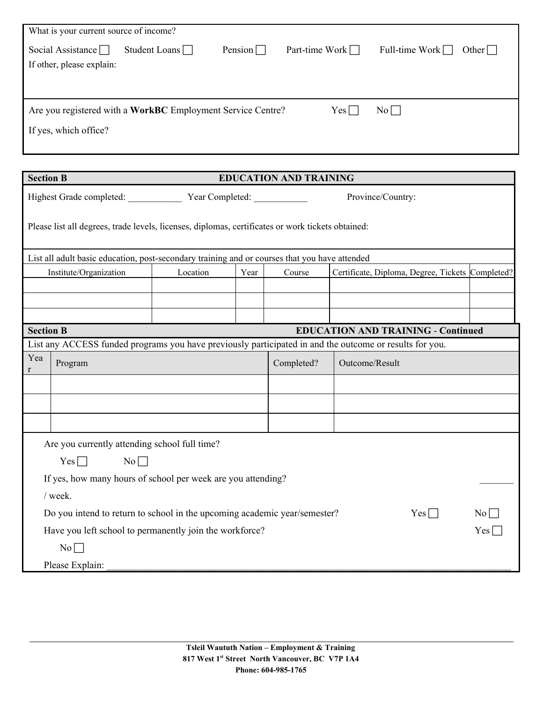| What is your current source of income?                                                   |               |                |                       |                                |  |  |  |
|------------------------------------------------------------------------------------------|---------------|----------------|-----------------------|--------------------------------|--|--|--|
| Social Assistance $\Box$                                                                 | Student Loans | Pension $\Box$ | Part-time Work $\Box$ | Full-time Work $\Box$<br>Other |  |  |  |
| If other, please explain:                                                                |               |                |                       |                                |  |  |  |
|                                                                                          |               |                |                       |                                |  |  |  |
|                                                                                          |               |                |                       |                                |  |  |  |
| Are you registered with a WorkBC Employment Service Centre?<br>$Yes \lceil$<br>$No \Box$ |               |                |                       |                                |  |  |  |
| If yes, which office?                                                                    |               |                |                       |                                |  |  |  |
|                                                                                          |               |                |                       |                                |  |  |  |

|                                                                                                   | <b>Section B</b><br><b>EDUCATION AND TRAINING</b>                                                       |                                                 |      |                   |                                                  |  |  |  |  |
|---------------------------------------------------------------------------------------------------|---------------------------------------------------------------------------------------------------------|-------------------------------------------------|------|-------------------|--------------------------------------------------|--|--|--|--|
|                                                                                                   |                                                                                                         | Highest Grade completed: <u>Vear Completed:</u> |      | Province/Country: |                                                  |  |  |  |  |
| Please list all degrees, trade levels, licenses, diplomas, certificates or work tickets obtained: |                                                                                                         |                                                 |      |                   |                                                  |  |  |  |  |
|                                                                                                   | List all adult basic education, post-secondary training and or courses that you have attended           |                                                 |      |                   |                                                  |  |  |  |  |
|                                                                                                   | Institute/Organization                                                                                  | Location                                        | Year | Course            | Certificate, Diploma, Degree, Tickets Completed? |  |  |  |  |
|                                                                                                   |                                                                                                         |                                                 |      |                   |                                                  |  |  |  |  |
|                                                                                                   |                                                                                                         |                                                 |      |                   |                                                  |  |  |  |  |
|                                                                                                   |                                                                                                         |                                                 |      |                   |                                                  |  |  |  |  |
| <b>Section B</b>                                                                                  |                                                                                                         |                                                 |      |                   | <b>EDUCATION AND TRAINING - Continued</b>        |  |  |  |  |
|                                                                                                   | List any ACCESS funded programs you have previously participated in and the outcome or results for you. |                                                 |      |                   |                                                  |  |  |  |  |
| Yea<br>r                                                                                          | Program                                                                                                 |                                                 |      | Completed?        | Outcome/Result                                   |  |  |  |  |
|                                                                                                   |                                                                                                         |                                                 |      |                   |                                                  |  |  |  |  |
|                                                                                                   |                                                                                                         |                                                 |      |                   |                                                  |  |  |  |  |
|                                                                                                   |                                                                                                         |                                                 |      |                   |                                                  |  |  |  |  |
|                                                                                                   | Are you currently attending school full time?                                                           |                                                 |      |                   |                                                  |  |  |  |  |
|                                                                                                   | $Yes \Box$<br>$No \Box$                                                                                 |                                                 |      |                   |                                                  |  |  |  |  |
| If yes, how many hours of school per week are you attending?                                      |                                                                                                         |                                                 |      |                   |                                                  |  |  |  |  |
| / week.                                                                                           |                                                                                                         |                                                 |      |                   |                                                  |  |  |  |  |
| Do you intend to return to school in the upcoming academic year/semester?<br>$Yes \Box$<br>No     |                                                                                                         |                                                 |      |                   |                                                  |  |  |  |  |
| Have you left school to permanently join the workforce?<br>$Yes \Box$                             |                                                                                                         |                                                 |      |                   |                                                  |  |  |  |  |
|                                                                                                   | $No \Box$                                                                                               |                                                 |      |                   |                                                  |  |  |  |  |
|                                                                                                   | Please Explain:                                                                                         |                                                 |      |                   |                                                  |  |  |  |  |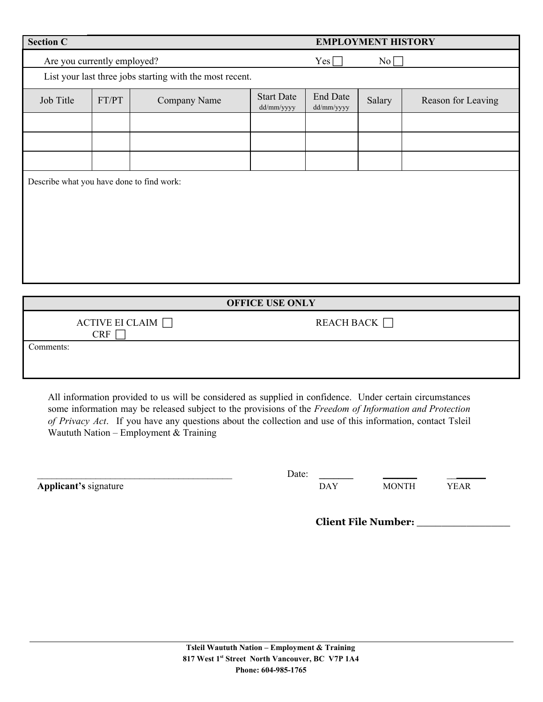| <b>Section C</b>                          |                                      | <b>EMPLOYMENT HISTORY</b>                                |                                 |                               |           |                    |  |
|-------------------------------------------|--------------------------------------|----------------------------------------------------------|---------------------------------|-------------------------------|-----------|--------------------|--|
|                                           | Are you currently employed?          |                                                          |                                 | $Yes \Box$                    | $No \Box$ |                    |  |
|                                           |                                      | List your last three jobs starting with the most recent. |                                 |                               |           |                    |  |
| Job Title                                 | FT/PT                                | Company Name                                             | <b>Start Date</b><br>dd/mm/yyyy | <b>End Date</b><br>dd/mm/yyyy | Salary    | Reason for Leaving |  |
|                                           |                                      |                                                          |                                 |                               |           |                    |  |
|                                           |                                      |                                                          |                                 |                               |           |                    |  |
|                                           |                                      |                                                          |                                 |                               |           |                    |  |
| Describe what you have done to find work: |                                      |                                                          |                                 |                               |           |                    |  |
|                                           |                                      |                                                          |                                 |                               |           |                    |  |
| <b>OFFICE USE ONLY</b>                    |                                      |                                                          |                                 |                               |           |                    |  |
|                                           | ACTIVE EI CLAIM $\Box$<br><b>CRF</b> |                                                          |                                 | REACH BACK                    |           |                    |  |
| Comments:                                 |                                      |                                                          |                                 |                               |           |                    |  |

All information provided to us will be considered as supplied in confidence. Under certain circumstances some information may be released subject to the provisions of the *Freedom of Information and Protection of Privacy Act* . If you have any questions about the collection and use of this information, contact Tsleil Waututh Nation – Employment & Training

**Applicant's** signature DAY MONTH YEAR

\_\_\_\_\_\_\_\_\_\_\_\_\_\_\_\_\_\_\_\_\_\_\_\_\_\_\_\_\_\_\_\_\_\_\_\_\_\_\_\_ Date: **\_\_\_\_\_\_\_** \_\_\_\_\_\_\_ \_\_\_\_\_\_\_\_

**Client File Number: \_\_\_\_\_\_\_\_\_\_\_\_\_\_\_**